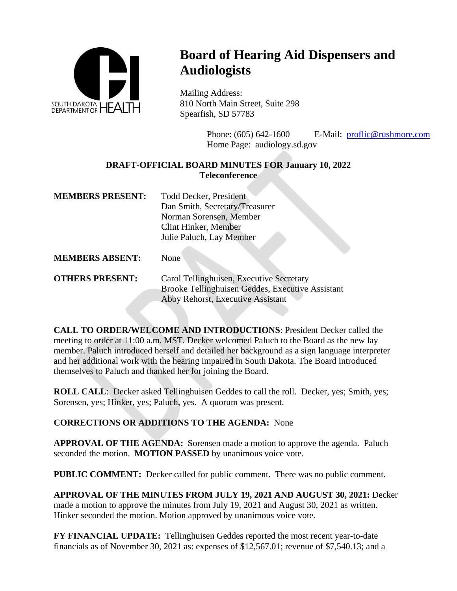

## **Board of Hearing Aid Dispensers and Audiologists**

Mailing Address: 810 North Main Street, Suite 298 Spearfish, SD 57783

> Phone: (605) 642-1600 E-Mail: [proflic@rushmore.com](mailto:proflic@rushmore.com) Home Page: audiology.sd.gov

## **DRAFT-OFFICIAL BOARD MINUTES FOR January 10, 2022 Teleconference**

| <b>MEMBERS PRESENT:</b> | <b>Todd Decker, President</b>  |
|-------------------------|--------------------------------|
|                         | Dan Smith, Secretary/Treasurer |
|                         | Norman Sorensen, Member        |
|                         | Clint Hinker, Member           |
|                         | Julie Paluch, Lay Member       |

**MEMBERS ABSENT:** None

**OTHERS PRESENT:** Carol Tellinghuisen, Executive Secretary Brooke Tellinghuisen Geddes, Executive Assistant Abby Rehorst, Executive Assistant

**CALL TO ORDER/WELCOME AND INTRODUCTIONS**: President Decker called the meeting to order at 11:00 a.m. MST. Decker welcomed Paluch to the Board as the new lay member. Paluch introduced herself and detailed her background as a sign language interpreter and her additional work with the hearing impaired in South Dakota. The Board introduced themselves to Paluch and thanked her for joining the Board.

**ROLL CALL:** Decker asked Tellinghuisen Geddes to call the roll. Decker, yes; Smith, yes; Sorensen, yes; Hinker, yes; Paluch, yes. A quorum was present.

## **CORRECTIONS OR ADDITIONS TO THE AGENDA:** None

**APPROVAL OF THE AGENDA:** Sorensen made a motion to approve the agenda. Paluch seconded the motion. **MOTION PASSED** by unanimous voice vote.

**PUBLIC COMMENT:** Decker called for public comment. There was no public comment.

**APPROVAL OF THE MINUTES FROM JULY 19, 2021 AND AUGUST 30, 2021:** Decker made a motion to approve the minutes from July 19, 2021 and August 30, 2021 as written. Hinker seconded the motion. Motion approved by unanimous voice vote.

**FY FINANCIAL UPDATE:** Tellinghuisen Geddes reported the most recent year-to-date financials as of November 30, 2021 as: expenses of \$12,567.01; revenue of \$7,540.13; and a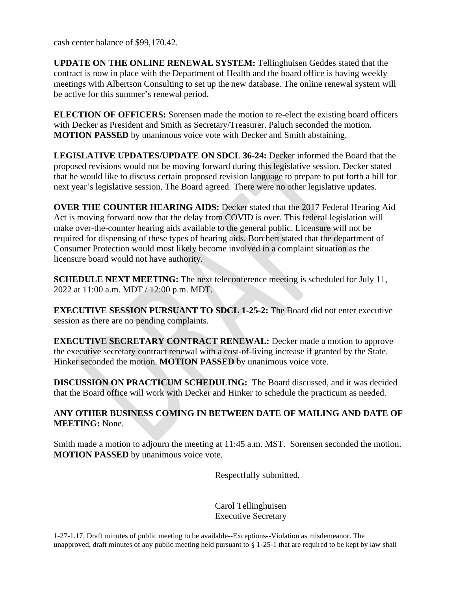cash center balance of \$99,170.42.

**UPDATE ON THE ONLINE RENEWAL SYSTEM:** Tellinghuisen Geddes stated that the contract is now in place with the Department of Health and the board office is having weekly meetings with Albertson Consulting to set up the new database. The online renewal system will be active for this summer's renewal period.

**ELECTION OF OFFICERS:** Sorensen made the motion to re-elect the existing board officers with Decker as President and Smith as Secretary/Treasurer. Paluch seconded the motion. **MOTION PASSED** by unanimous voice vote with Decker and Smith abstaining.

**LEGISLATIVE UPDATES/UPDATE ON SDCL 36-24:** Decker informed the Board that the proposed revisions would not be moving forward during this legislative session. Decker stated that he would like to discuss certain proposed revision language to prepare to put forth a bill for next year's legislative session. The Board agreed. There were no other legislative updates.

**OVER THE COUNTER HEARING AIDS:** Decker stated that the 2017 Federal Hearing Aid Act is moving forward now that the delay from COVID is over. This federal legislation will make over-the-counter hearing aids available to the general public. Licensure will not be required for dispensing of these types of hearing aids. Borchert stated that the department of Consumer Protection would most likely become involved in a complaint situation as the licensure board would not have authority.

**SCHEDULE NEXT MEETING:** The next teleconference meeting is scheduled for July 11, 2022 at 11:00 a.m. MDT / 12:00 p.m. MDT.

**EXECUTIVE SESSION PURSUANT TO SDCL 1-25-2:** The Board did not enter executive session as there are no pending complaints.

**EXECUTIVE SECRETARY CONTRACT RENEWAL:** Decker made a motion to approve the executive secretary contract renewal with a cost-of-living increase if granted by the State. Hinker seconded the motion. **MOTION PASSED** by unanimous voice vote.

**DISCUSSION ON PRACTICUM SCHEDULING:** The Board discussed, and it was decided that the Board office will work with Decker and Hinker to schedule the practicum as needed.

## **ANY OTHER BUSINESS COMING IN BETWEEN DATE OF MAILING AND DATE OF MEETING:** None.

Smith made a motion to adjourn the meeting at 11:45 a.m. MST. Sorensen seconded the motion. **MOTION PASSED** by unanimous voice vote.

Respectfully submitted,

Carol Tellinghuisen Executive Secretary

1-27-1.17. Draft minutes of public meeting to be available--Exceptions--Violation as misdemeanor. The unapproved, draft minutes of any public meeting held pursuant to § 1-25-1 that are required to be kept by law shall